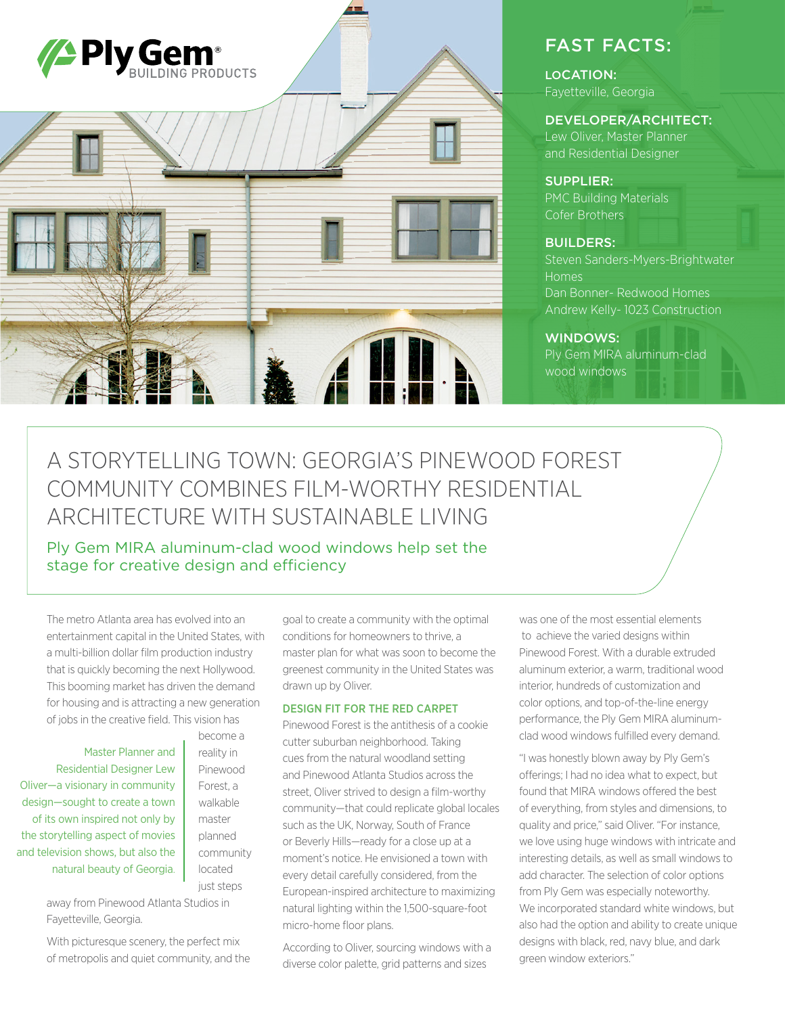

## FAST FACTS:

LOCATION: Fayetteville, Georgia

### DEVELOPER/ARCHITECT:

Lew Oliver, Master Planner and Residential Designer

#### SUPPLIER:

PMC Building Materials Cofer Brothers

#### BUILDERS:

Steven Sanders-Myers-Brightwater Homes Dan Bonner- Redwood Homes Andrew Kelly- 1023 Construction

#### WINDOWS:

Ply Gem MIRA aluminum-clad wood windows

# A STORYTELLING TOWN: GEORGIA'S PINEWOOD FOREST COMMUNITY COMBINES FILM-WORTHY RESIDENTIAL ARCHITECTURE WITH SUSTAINABLE LIVING

Ply Gem MIRA aluminum-clad wood windows help set the stage for creative design and efficiency

The metro Atlanta area has evolved into an entertainment capital in the United States, with a multi-billion dollar film production industry that is quickly becoming the next Hollywood. This booming market has driven the demand for housing and is attracting a new generation of jobs in the creative field. This vision has

Master Planner and Residential Designer Lew Oliver—a visionary in community design—sought to create a town of its own inspired not only by the storytelling aspect of movies and television shows, but also the natural beauty of Georgia.

become a reality in Pinewood Forest, a walkable master planned community located just steps

away from Pinewood Atlanta Studios in Fayetteville, Georgia.

With picturesque scenery, the perfect mix of metropolis and quiet community, and the goal to create a community with the optimal conditions for homeowners to thrive, a master plan for what was soon to become the greenest community in the United States was drawn up by Oliver.

#### DESIGN FIT FOR THE RED CARPET

Pinewood Forest is the antithesis of a cookie cutter suburban neighborhood. Taking cues from the natural woodland setting and Pinewood Atlanta Studios across the street, Oliver strived to design a film-worthy community—that could replicate global locales such as the UK, Norway, South of France or Beverly Hills—ready for a close up at a moment's notice. He envisioned a town with every detail carefully considered, from the European-inspired architecture to maximizing natural lighting within the 1,500-square-foot micro-home floor plans.

According to Oliver, sourcing windows with a diverse color palette, grid patterns and sizes

was one of the most essential elements to achieve the varied designs within Pinewood Forest. With a durable extruded aluminum exterior, a warm, traditional wood interior, hundreds of customization and color options, and top-of-the-line energy performance, the Ply Gem MIRA aluminumclad wood windows fulfilled every demand.

"I was honestly blown away by Ply Gem's offerings; I had no idea what to expect, but found that MIRA windows offered the best of everything, from styles and dimensions, to quality and price," said Oliver. "For instance, we love using huge windows with intricate and interesting details, as well as small windows to add character. The selection of color options from Ply Gem was especially noteworthy. We incorporated standard white windows, but also had the option and ability to create unique designs with black, red, navy blue, and dark green window exteriors."